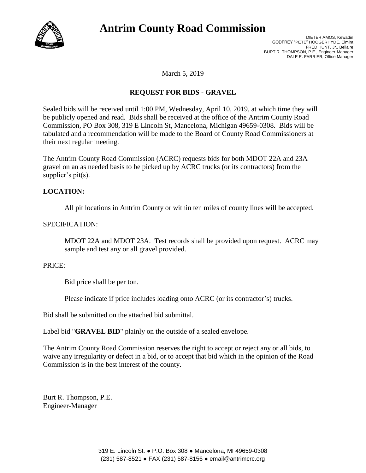

# **Antrim County Road Commission**

March 5, 2019

## **REQUEST FOR BIDS - GRAVEL**

Sealed bids will be received until 1:00 PM, Wednesday, April 10, 2019, at which time they will be publicly opened and read. Bids shall be received at the office of the Antrim County Road Commission, PO Box 308, 319 E Lincoln St, Mancelona, Michigan 49659-0308. Bids will be tabulated and a recommendation will be made to the Board of County Road Commissioners at their next regular meeting.

The Antrim County Road Commission (ACRC) requests bids for both MDOT 22A and 23A gravel on an as needed basis to be picked up by ACRC trucks (or its contractors) from the supplier's pit(s).

## **LOCATION:**

All pit locations in Antrim County or within ten miles of county lines will be accepted.

#### SPECIFICATION:

MDOT 22A and MDOT 23A. Test records shall be provided upon request. ACRC may sample and test any or all gravel provided.

#### PRICE:

Bid price shall be per ton.

Please indicate if price includes loading onto ACRC (or its contractor's) trucks.

Bid shall be submitted on the attached bid submittal.

Label bid "**GRAVEL BID**" plainly on the outside of a sealed envelope.

The Antrim County Road Commission reserves the right to accept or reject any or all bids, to waive any irregularity or defect in a bid, or to accept that bid which in the opinion of the Road Commission is in the best interest of the county.

Burt R. Thompson, P.E. Engineer-Manager